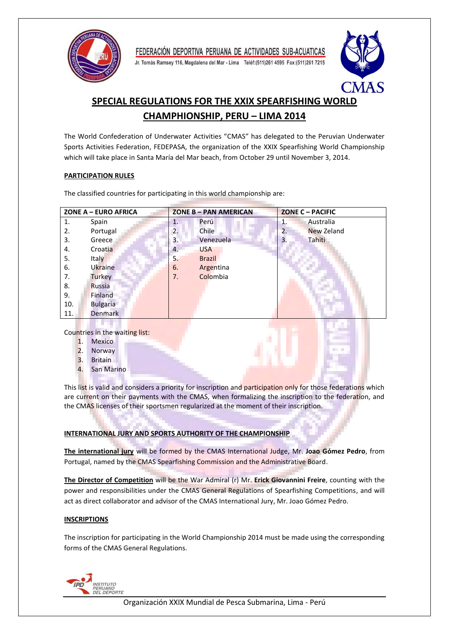

Jr. Tomás Ramsey 116, Magdalena del Mar - Lima Teléf: (511) 261 4595 Fax: (511) 261 7215



# **SPECIAL REGULATIONS FOR THE XXIX SPEARFISHING WORLD CHAMPHIONSHIP, PERU – LIMA 2014**

The World Confederation of Underwater Activities "CMAS" has delegated to the Peruvian Underwater Sports Activities Federation, FEDEPASA, the organization of the XXIX Spearfishing World Championship which will take place in Santa María del Mar beach, from October 29 until November 3, 2014.

## **PARTICIPATION RULES**

The classified countries for participating in this world championship are:

| ZONE A - EURO AFRICA |                 | <b>ZONE B - PAN AMERICAN</b> |               | ZONE C - PACIFIC |            |
|----------------------|-----------------|------------------------------|---------------|------------------|------------|
| 1.                   | Spain           | 1.                           | Perú          | 1.               | Australia  |
| 2.                   | Portugal        | 2.                           | Chile         | 2.               | New Zeland |
| 3.                   | Greece.         | 3.                           | Venezuela     | 3.               | Tahiti     |
| 4.                   | Croatia         | 4.                           | <b>USA</b>    |                  |            |
| 5.                   | Italy           | 5.                           | <b>Brazil</b> |                  |            |
| 6.                   | Ukraine         | 6.                           | Argentina     |                  |            |
| 7.                   | Turkey          | 7.                           | Colombia      |                  |            |
| 8.                   | Russia          |                              |               |                  |            |
| 9.                   | Finland         |                              |               |                  |            |
| 10.                  | <b>Bulgaria</b> |                              |               |                  |            |
| 11.                  | Denmark         |                              |               |                  |            |
|                      |                 |                              |               |                  |            |

Countries in the waiting list:

- 1. Mexico
- 2. Norway
- 3. Britain
- 4. San Marino

This list is valid and considers a priority for inscription and participation only for those federations which are current on their payments with the CMAS, when formalizing the inscription to the federation, and the CMAS licenses of their sportsmen regularized at the moment of their inscription.

## **INTERNATIONAL JURY AND SPORTS AUTHORITY OF THE CHAMPIONSHIP**

**The international jury** will be formed by the CMAS International Judge, Mr. **Joao Gómez Pedro**, from Portugal, named by the CMAS Spearfishing Commission and the Administrative Board.

**The Director of Competition** will be the War Admiral (r) Mr. **Erick Giovannini Freire**, counting with the power and responsibilities under the CMAS General Regulations of Spearfishing Competitions, and will act as direct collaborator and advisor of the CMAS International Jury, Mr. Joao Gómez Pedro.

## **INSCRIPTIONS**

The inscription for participating in the World Championship 2014 must be made using the corresponding forms of the CMAS General Regulations.

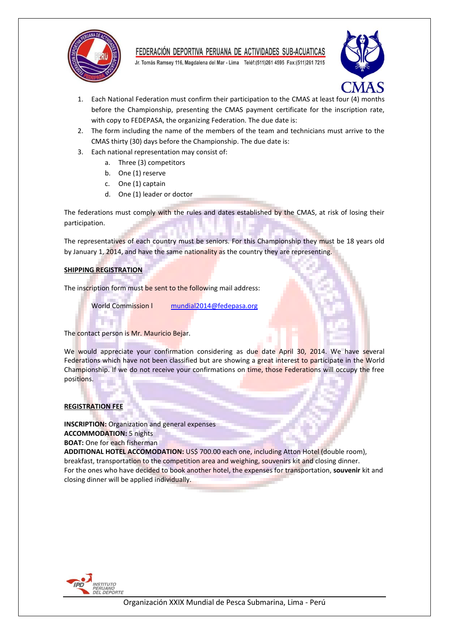

Jr. Tomás Ramsey 116, Magdalena del Mar - Lima Teléf: (511) 261 4595 Fax: (511) 261 7215



- 1. Each National Federation must confirm their participation to the CMAS at least four (4) months before the Championship, presenting the CMAS payment certificate for the inscription rate, with copy to FEDEPASA, the organizing Federation. The due date is:
- 2. The form including the name of the members of the team and technicians must arrive to the CMAS thirty (30) days before the Championship. The due date is:
- 3. Each national representation may consist of:
	- a. Three (3) competitors
	- b. One (1) reserve
	- c. One (1) captain
	- d. One (1) leader or doctor

The federations must comply with the rules and dates established by the CMAS, at risk of losing their participation.

The representatives of each country must be seniors. For this Championship they must be 18 years old by January 1, 2014, and have the same nationality as the country they are representing.

#### **SHIPPING REGISTRATION**

**Contract** 

The inscription form must be sent to the following mail address:

World Commission I [mundial2014@fedepasa.org](mailto:mundial2014@fedepasa.org)

The contact person is Mr. Mauricio Bejar.

We would appreciate your confirmation considering as due date April 30, 2014. We have several Federations which have not been classified but are showing a great interest to participate in the World Championship. If we do not receive your confirmations on time, those Federations will occupy the free positions.

## **REGISTRATION FEE**

**INSCRIPTION:** Organization and general expenses **ACCOMMODATION:** 5 nights

**BOAT:** One for each fisherman

**ADDITIONAL HOTEL ACCOMODATION:** US\$ 700.00 each one, including Atton Hotel (double room), breakfast, transportation to the competition area and weighing, souvenirs kit and closing dinner. For the ones who have decided to book another hotel, the expenses for transportation, **souvenir** kit and closing dinner will be applied individually.

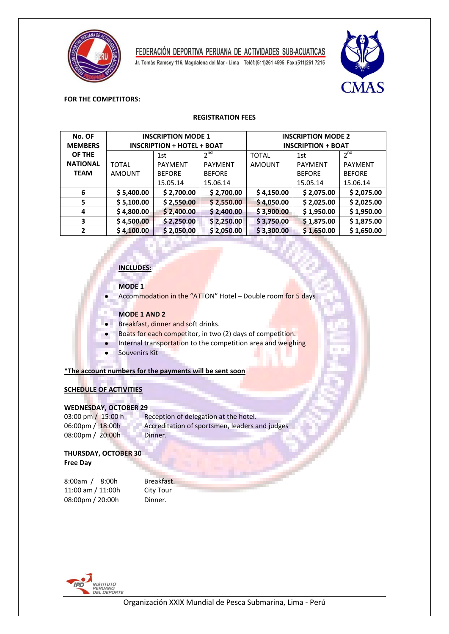

Jr. Tomás Ramsey 116, Magdalena del Mar - Lima Teléf:(511)261 4595 Fax:(511)261 7215



#### **FOR THE COMPETITORS:**

#### **REGISTRATION FEES**

| No. OF          | <b>INSCRIPTION MODE 1</b>         |                |                 | <b>INSCRIPTION MODE 2</b> |                |                |
|-----------------|-----------------------------------|----------------|-----------------|---------------------------|----------------|----------------|
| <b>MEMBERS</b>  | <b>INSCRIPTION + HOTEL + BOAT</b> |                |                 | <b>INSCRIPTION + BOAT</b> |                |                |
| OF THE          |                                   | 1st            | 2 <sup>nd</sup> | <b>TOTAL</b>              | 1st            | $2^{nd}$       |
| <b>NATIONAL</b> | <b>TOTAL</b>                      | <b>PAYMENT</b> | <b>PAYMENT</b>  | <b>AMOUNT</b>             | <b>PAYMENT</b> | <b>PAYMENT</b> |
| <b>TEAM</b>     | <b>AMOUNT</b>                     | <b>BEFORE</b>  | <b>BEFORE</b>   |                           | <b>BEFORE</b>  | <b>BEFORE</b>  |
|                 |                                   | 15.05.14       | 15.06.14        |                           | 15.05.14       | 15.06.14       |
| 6               | \$5,400.00                        | \$2,700.00     | \$2,700.00      | \$4,150.00                | \$2,075.00     | \$2,075.00     |
| 5               | \$5,100.00                        | \$2,550.00     | \$2,550.00      | \$4,050.00                | \$2,025.00     | \$2,025.00     |
| 4               | \$4,800.00                        | \$2,400.00     | \$2,400.00      | \$3,900.00                | \$1,950.00     | \$1,950.00     |
| 3               | \$4,500.00                        | \$2,250.00     | \$2,250.00      | \$3,750.00                | \$1,875.00     | \$1,875.00     |
| $\overline{2}$  | \$4,100.00                        | \$2,050.00     | \$2,050.00      | \$3,300.00                | \$1,650.00     | \$1,650.00     |

### **INCLUDES:**

### **MODE 1**

Accommodation in the "ATTON" Hotel – Double room for 5 days

### **MODE 1 AND 2**

- Breakfast, dinner and soft drinks.  $\bullet$ 
	- Boats for each competitor, in two (2) days of competition.
	- Internal transportation to the competition area and weighing
	- Souvenirs Kit

#### **\*The account numbers for the payments will be sent soon**

### **SCHEDULE OF ACTIVITIES**

#### **WEDNESDAY, OCTOBER 29**

03:00 pm / 15:00 h Reception of delegation at the hotel. 06:00pm / 18:00h Accreditation of sportsmen, leaders and judges 08:00pm / 20:00h Dinner.

#### **THURSDAY, OCTOBER 30 Free Day**

8:00am / 8:00h Breakfast. 11:00 am / 11:00h City Tour<br>08:00pm / 20:00h Dinner. 08:00pm / 20:00h

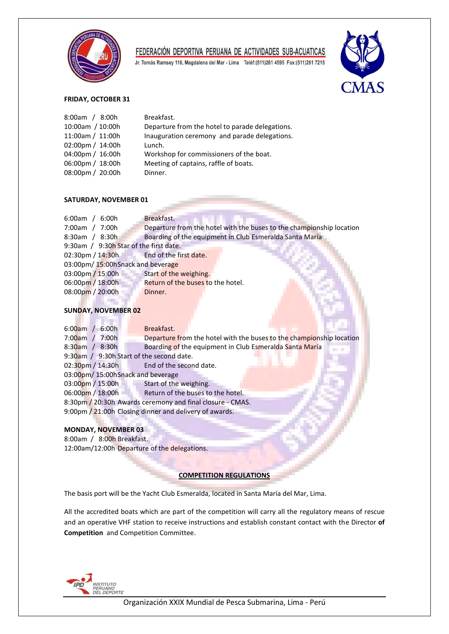

Jr. Tomás Ramsey 116, Magdalena del Mar - Lima Teléf:(511)261 4595 Fax:(511)261 7215



#### **FRIDAY, OCTOBER 31**

| 8:00am / 8:00h     | Breakfast.                                      |
|--------------------|-------------------------------------------------|
| 10:00am / 10:00h   | Departure from the hotel to parade delegations. |
| 11:00am / 11:00h   | Inauguration ceremony and parade delegations.   |
| 02:00pm / $14:00h$ | Lunch.                                          |
| 04:00pm / 16:00h   | Workshop for commissioners of the boat.         |
| 06:00pm / 18:00h   | Meeting of captains, raffle of boats.           |
| 08:00pm / 20:00h   | Dinner.                                         |
|                    |                                                 |

#### **SATURDAY, NOVEMBER 01**

| $6:00am$ /<br>6:00h                     | Breakfast.                                                           |  |  |  |
|-----------------------------------------|----------------------------------------------------------------------|--|--|--|
| 7:00am / 7:00h                          | Departure from the hotel with the buses to the championship location |  |  |  |
| $8:30am$ /<br>8:30h                     | Boarding of the equipment in Club Esmeralda Santa María              |  |  |  |
| 9:30am / 9:30h Star of the first date.  |                                                                      |  |  |  |
| 02:30pm / 14:30h End of the first date. |                                                                      |  |  |  |
| 03:00pm/15:00hSnack and beverage        |                                                                      |  |  |  |
| 03:00pm / 15:00h                        | Start of the weighing.                                               |  |  |  |
| 06:00pm / 18:00h                        | Return of the buses to the hotel.                                    |  |  |  |
| 08:00pm / 20:00h                        | Dinner.                                                              |  |  |  |
|                                         |                                                                      |  |  |  |

#### **SUNDAY, NOVEMBER 02** a se provincia

| $6:00am$ / $6:00h$                                        | Breakfast.                                                              |  |  |  |
|-----------------------------------------------------------|-------------------------------------------------------------------------|--|--|--|
| 7:00am / 7:00h                                            | Departure from the hotel with the buses to the championship location    |  |  |  |
| $8:30$ am / $8:30h$                                       | Boarding of the equipment in Club Esmeralda Santa María<br><b>THE R</b> |  |  |  |
| 9:30am / 9:30h Start of the second date.                  |                                                                         |  |  |  |
| $02:30$ pm / 14:30h                                       | End of the second date.                                                 |  |  |  |
| 03:00pm/15:00hSnack and beverage                          |                                                                         |  |  |  |
| 03:00pm / 15:00h                                          | Start of the weighing.                                                  |  |  |  |
| 06:00pm / 18:00h                                          | Return of the buses to the hotel.                                       |  |  |  |
| 8:30pm / 20:30h Awards ceremony and final closure - CMAS. |                                                                         |  |  |  |
| 9:00pm / 21:00h Closing dinner and delivery of awards.    |                                                                         |  |  |  |

#### **MONDAY, NOVEMBER 03**

8:00am / 8:00h Breakfast. 12:00am/12:00h Departure of the delegations.

#### **COMPETITION REGULATIONS**

The basis port will be the Yacht Club Esmeralda, located in Santa María del Mar, Lima.

All the accredited boats which are part of the competition will carry all the regulatory means of rescue and an operative VHF station to receive instructions and establish constant contact with the Director **of Competition** and Competition Committee.

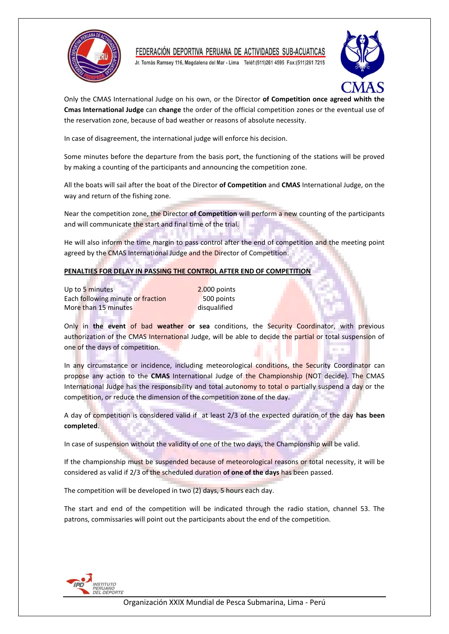

Jr. Tomás Ramsey 116, Magdalena del Mar - Lima Teléf: (511) 261 4595 Fax: (511) 261 7215



Only the CMAS International Judge on his own, or the Director **of Competition once agreed whith the Cmas International Judge** can **change** the order of the official competition zones or the eventual use of the reservation zone, because of bad weather or reasons of absolute necessity.

In case of disagreement, the international judge will enforce his decision.

Some minutes before the departure from the basis port, the functioning of the stations will be proved by making a counting of the participants and announcing the competition zone.

All the boats will sail after the boat of the Director **of Competition** and **CMAS** International Judge, on the way and return of the fishing zone.

Near the competition zone, the Director **of Competition** will perform a new counting of the participants and will communicate the start and final time of the trial.

He will also inform the time margin to pass control after the end of competition and the meeting point agreed by the CMAS International Judge and the Director of Competition.

## **PENALTIES FOR DELAY IN PASSING THE CONTROL AFTER END OF COMPETITION**

Up to 5 minutes 2.000 points Each following minute or fraction 500 points More than 15 minutes disqualified

Only in **the event** of bad **weather or sea** conditions, the Security Coordinator, with previous authorization of the CMAS International Judge, will be able to decide the partial or total suspension of one of the days of competition.

In any circumstance or incidence, including meteorological conditions, the Security Coordinator can propose any action to the **CMAS** International Judge of the Championship (NOT decide). The CMAS International Judge has the responsibility and total autonomy to total o partially suspend a day or the competition, or reduce the dimension of the competition zone of the day.

A day of competition is considered valid if at least 2/3 of the expected duration of the day **has been completed**.

In case of suspension without the validity of one of the two days, the Championship will be valid.

If the championship must be suspended because of meteorological reasons or total necessity, it will be considered as valid if 2/3 of the scheduled duration **of one of the days** has been passed.

The competition will be developed in two (2) days, 5 hours each day.

The start and end of the competition will be indicated through the radio station, channel 53. The patrons, commissaries will point out the participants about the end of the competition.

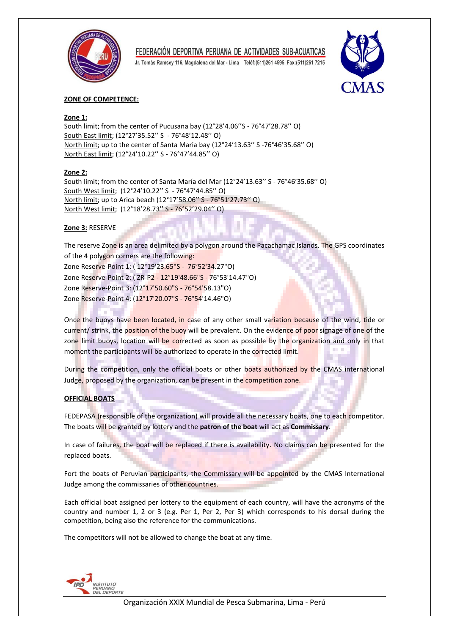

Jr. Tomás Ramsey 116, Magdalena del Mar - Lima Teléf: (511) 261 4595 Fax: (511) 261 7215



### **ZONE OF COMPETENCE:**

### **Zone 1:**

South limit; from the center of Pucusana bay (12°28'4.06''S - 76°47'28.78'' O) South East limit; (12°27'35.52'' S - 76°48'12.48'' O) North limit; up to the center of Santa Maria bay (12°24'13.63'' S -76°46'35.68'' O) North East limit; (12°24'10.22'' S - 76°47'44.85'' O)

### **Zone 2:**

South limit; from the center of Santa María del Mar (12°24'13.63'' S - 76°46'35.68'' O) South West limit; (12°24'10.22'' S - 76°47'44.85'' O) North limit; up to Arica beach (12°17'58.06'' S - 76°51'27.73'' O) North West limit; (12°18'28.73'' S - 76°52'29.04'' O)

#### **Zone 3:** RESERVE

The reserve Zone is an area delimited by a polygon around the Pacachamac Islands. The GPS coordinates of the 4 polygon corners are the following: Zone Reserve-Point 1: ( 12°19'23.65"S - 76°52'34.27"O) Zone Reserve-Point 2: ( ZR-P2 - 12°19'48.66"S - 76°53'14.47"O) Zone Reserve-Point 3: (12°17'50.60"S - 76°54'58.13"O) Zone Reserve-Point 4: (12°17'20.07"S - 76°54'14.46"O)

Once the buoys have been located, in case of any other small variation because of the wind, tide or current/ strink, the position of the buoy will be prevalent. On the evidence of poor signage of one of the zone limit buoys, location will be corrected as soon as possible by the organization and only in that moment the participants will be authorized to operate in the corrected limit.

During the competition, only the official boats or other boats authorized by the CMAS international Judge, proposed by the organization, can be present in the competition zone.

## **OFFICIAL BOATS**

FEDEPASA (responsible of the organization) will provide all the necessary boats, one to each competitor. The boats will be granted by lottery and the **patron of the boat** will act as **Commissary**.

In case of failures, the boat will be replaced if there is availability. No claims can be presented for the replaced boats.

Fort the boats of Peruvian participants, the Commissary will be appointed by the CMAS International Judge among the commissaries of other countries.

Each official boat assigned per lottery to the equipment of each country, will have the acronyms of the country and number 1, 2 or 3 (e.g. Per 1, Per 2, Per 3) which corresponds to his dorsal during the competition, being also the reference for the communications.

The competitors will not be allowed to change the boat at any time.

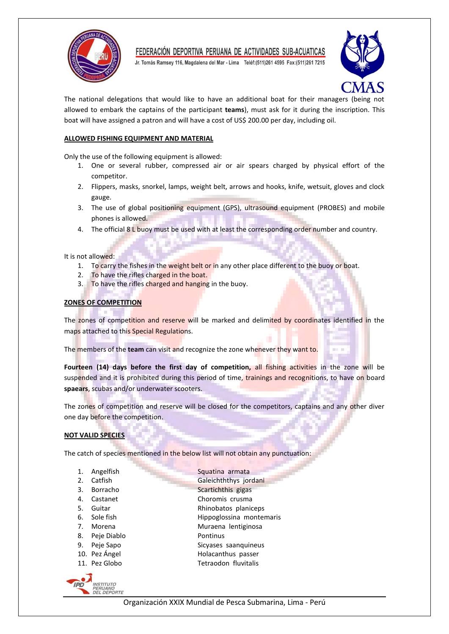

Jr. Tomás Ramsey 116, Magdalena del Mar - Lima Teléf: (511) 261 4595 Fax: (511) 261 7215



The national delegations that would like to have an additional boat for their managers (being not allowed to embark the captains of the participant **teams**), must ask for it during the inscription. This boat will have assigned a patron and will have a cost of US\$ 200.00 per day, including oil.

### **ALLOWED FISHING EQUIPMENT AND MATERIAL**

Only the use of the following equipment is allowed:

- 1. One or several rubber, compressed air or air spears charged by physical effort of the competitor.
- 2. Flippers, masks, snorkel, lamps, weight belt, arrows and hooks, knife, wetsuit, gloves and clock gauge.
- 3. The use of global positioning equipment (GPS), ultrasound equipment (PROBES) and mobile phones is allowed.
- 4. The official 8 L buoy must be used with at least the corresponding order number and country.

It is not allowed:

- 1. To carry the fishes in the weight belt or in any other place different to the buoy or boat.
- 2. To have the rifles charged in the boat.
- 3. To have the rifles charged and hanging in the buoy.

### **ZONES OF COMPETITION**

The zones of competition and reserve will be marked and delimited by coordinates identified in the maps attached to this Special Regulations.

The members of the **team** can visit and recognize the zone whenever they want to.

**Fourteen (14) days before the first day of competition,** all fishing activities in the zone will be suspended and it is prohibited during this period of time, trainings and recognitions, to have on board **spaears**, scubas and/or underwater scooters.

The zones of competition and reserve will be closed for the competitors, captains and any other diver one day before the competition.

## **NOT VALID SPECIES**

The catch of species mentioned in the below list will not obtain any punctuation:

- 1. Angelfish **Squatina armata**
- 2. Catfish Galeichththys jordani
- 
- 
- 
- 
- 
- 8. Peje Diablo Pontinus
- 
- 
- 



3. Borracho Scartichthis gigas 4. Castanet Choromis crusma 5. Guitar **Rhinobatos planiceps** 6. Sole fish Hippoglossina montemaris 7. Morena **Muraena** lentiginosa 9. Peje Sapo Sicyases saanquineus

- 10. Pez Ángel **Holacanthus** passer
- 11. Pez Globo Tetraodon fluvitalis

Organización XXIX Mundial de Pesca Submarina, Lima - Perú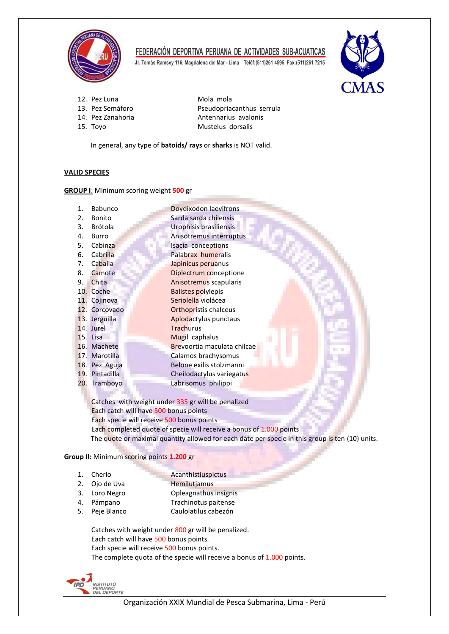

Jr. Tomás Ramsey 116, Magdalena del Mar - Lima Teléf:(511)261 4595 Fax:(511)261 7215



- 12. Pez Luna Mola mola
- 
- 
- 

13. Pez Semáforo Pseudopriacanthus serrula 14. Pez Zanahoria **Antennarius** avalonis 15. Toyo Mustelus dorsalis

In general, any type of **batoids/ rays** or **sharks** is NOT valid.

## **VALID SPECIES**

**GROUP I**: Minimum scoring weight **500** gr

| 1.  | Babunco        | Doydixodon laevifrons        |
|-----|----------------|------------------------------|
| 2.  | Bonito         | Sarda sarda chilensis        |
| 3.  | <b>Brótola</b> | Urophisis brasiliensis       |
| 4.  | Burro          | Anisotremus interruptus      |
| 5.  | Cabinza        | Isacia conceptions           |
| 6.  | Cabrilla       | Palabrax humeralis           |
| 7.  | Caballa        | Japinicus peruanus           |
| 8.  | Camote         | Diplectrum conceptione       |
| 9.  | Chita          | Anisotremus scapularis       |
|     | 10. Coche      | <b>Balistes polylepis</b>    |
|     | 11. Cojinova   | Seriolella violácea          |
|     | 12. Corcovado  | <b>Orthopristis chalceus</b> |
|     | 13. Jerguilla  | Aplodactylus punctaus        |
|     | 14. Jurel      | <b>Trachurus</b>             |
|     | 15. Lisa       | Mugil caphalus               |
|     | 16. Machete    | Brevoortia maculata chilcae  |
| 17. | Marotilla      | Calamos brachysomus          |
|     | 18. Pez Aguja  | Belone exilis stolzmanni     |
| 19. | Pintadilla     | Cheilodactylus variegatus    |
|     | 20. Tramboyo   | Labrisomus philippi          |
|     |                |                              |

Catches with weight under 335 gr will be penalized Each catch will have 500 bonus points Each specie will receive 500 bonus points Each completed quote of specie will receive a bonus of 1.000 points The quote or maximal quantity allowed for each date per specie in this group is ten (10) units.

## **Group II:** Minimum scoring points **1.200** gr

- 
- 1. Cherlo **Acanthistiuspictus** 2. Ojo de Uva Hemilutiamus
- 
- 3. Loro Negro Copleagnathus insignis<br>
4. Pámpano Company Trachinotus paitense 4. Pámpano Trachinotus paitense Caulolatilus cabezón

Catches with weight under 800 gr will be penalized. Each catch will have 500 bonus points. Each specie will receive 500 bonus points. The complete quota of the specie will receive a bonus of 1.000 points.

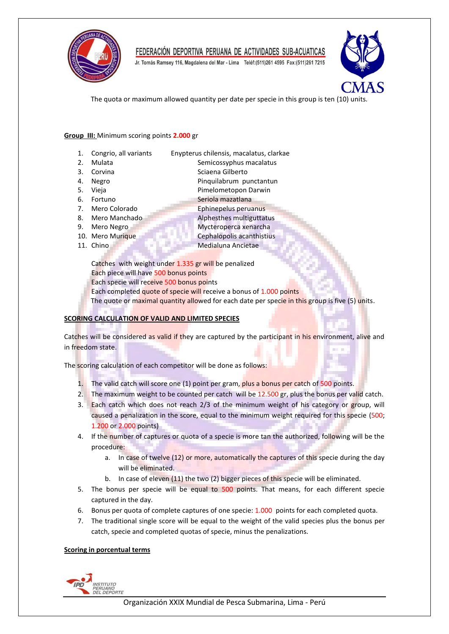

Jr. Tomás Ramsey 116, Magdalena del Mar - Lima Teléf: (511) 261 4595 Fax: (511) 261 7215



The quota or maximum allowed quantity per date per specie in this group is ten (10) units.

### **Group III:** Minimum scoring points **2.000** gr

- 1. Congrio, all variantsEnypterus chilensis, macalatus, clarkae
- 
- 2. Mulata Semicossyphus macalatus
- 3. Corvina Sciaena Gilberto
- 4. Negro **Pinquilabrum** punctantun
- 5. Vieja **Pimelometopon Darwin**
- 6. Fortuno Seriola mazatlana
- 
- 8. Mero Manchado **Alphesthes multiguttatus**
- 
- 
- 
- 7. Mero Colorado Ephinepelus peruanus
- 9. Mero Negro **Mycteroperca** xenarcha
- 10. Mero Murique **Cephalopolis acanthistius**
- 11. Chino **Medialuna Ancietae**

Catches with weight under 1.335 gr will be penalized Each piece will have 500 bonus points Each specie will receive 500 bonus points Each completed quote of specie will receive a bonus of 1.000 points The quote or maximal quantity allowed for each date per specie in this group is five (5) units.

## **SCORING CALCULATION OF VALID AND LIMITED SPECIES**

Catches will be considered as valid if they are captured by the participant in his environment, alive and in freedom state.

The scoring calculation of each competitor will be done as follows:

- 1. The valid catch will score one (1) point per gram, plus a bonus per catch of 500 points.
- 2. The maximum weight to be counted per catch will be 12.500 gr, plus the bonus per valid catch.
- 3. Each catch which does not reach 2/3 of the minimum weight of his category or group, will caused a penalization in the score, equal to the minimum weight required for this specie (500; 1.200 or 2.000 points)
- 4. If the number of captures or quota of a specie is more tan the authorized, following will be the procedure:
	- a. In case of twelve (12) or more, automatically the captures of this specie during the day will be eliminated.
	- b. In case of eleven (11) the two (2) bigger pieces of this specie will be eliminated.
- 5. The bonus per specie will be equal to 500 points. That means, for each different specie captured in the day.
- 6. Bonus per quota of complete captures of one specie: 1.000 points for each completed quota.
- 7. The traditional single score will be equal to the weight of the valid species plus the bonus per catch, specie and completed quotas of specie, minus the penalizations.

## **Scoring in porcentual terms**

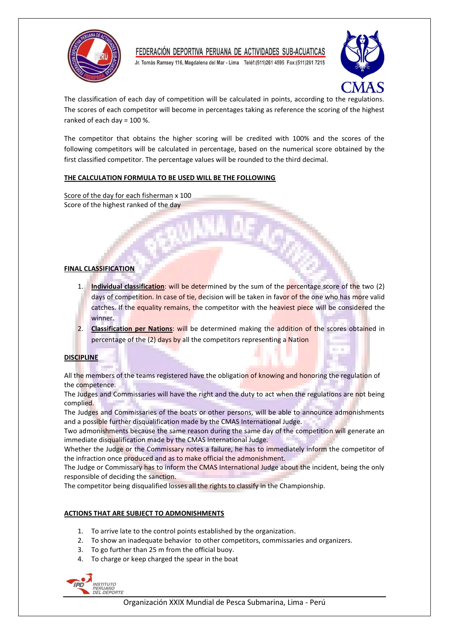

Jr. Tomás Ramsey 116, Magdalena del Mar - Lima Teléf: (511) 261 4595 Fax: (511) 261 7215



**COLOR** 

The classification of each day of competition will be calculated in points, according to the regulations. The scores of each competitor will become in percentages taking as reference the scoring of the highest ranked of each day = 100 %.

The competitor that obtains the higher scoring will be credited with 100% and the scores of the following competitors will be calculated in percentage, based on the numerical score obtained by the first classified competitor. The percentage values will be rounded to the third decimal.

### **THE CALCULATION FORMULA TO BE USED WILL BE THE FOLLOWING**

Score of the day for each fisherman x 100 Score of the highest ranked of the day

### **FINAL CLASSIFICATION**

- 1. **Individual classification**: will be determined by the sum of the percentage score of the two (2) days of competition. In case of tie, decision will be taken in favor of the one who has more valid catches. If the equality remains, the competitor with the heaviest piece will be considered the winner.
- 2. Classification per Nations: will be determined making the addition of the scores obtained in percentage of the (2) days by all the competitors representing a Nation

## **DISCIPLINE**

All the members of the teams registered have the obligation of knowing and honoring the regulation of the competence.

The Judges and Commissaries will have the right and the duty to act when the regulations are not being complied.

The Judges and Commissaries of the boats or other persons, will be able to announce admonishments and a possible further disqualification made by the CMAS International Judge.

Two admonishments because the same reason during the same day of the competition will generate an immediate disqualification made by the CMAS International Judge.

Whether the Judge or the Commissary notes a failure, he has to immediately inform the competitor of the infraction once produced and as to make official the admonishment.

The Judge or Commissary has to inform the CMAS International Judge about the incident, being the only responsible of deciding the sanction.

The competitor being disqualified losses all the rights to classify in the Championship.

## **ACTIONS THAT ARE SUBJECT TO ADMONISHMENTS**

- 1. To arrive late to the control points established by the organization.
- 2. To show an inadequate behavior to other competitors, commissaries and organizers.
- 3. To go further than 25 m from the official buoy.
- 4. To charge or keep charged the spear in the boat

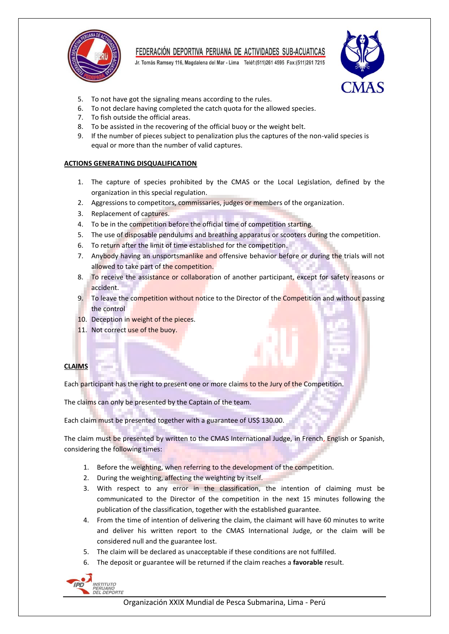

Jr. Tomás Ramsey 116, Magdalena del Mar - Lima Teléf: (511) 261 4595 Fax: (511) 261 7215



- 5. To not have got the signaling means according to the rules.
- 6. To not declare having completed the catch quota for the allowed species.
- 7. To fish outside the official areas.
- 8. To be assisted in the recovering of the official buoy or the weight belt.
- 9. If the number of pieces subject to penalization plus the captures of the non-valid species is equal or more than the number of valid captures.

### **ACTIONS GENERATING DISQUALIFICATION**

- 1. The capture of species prohibited by the CMAS or the Local Legislation, defined by the organization in this special regulation.
- 2. Aggressions to competitors, commissaries, judges or members of the organization.
- 3. Replacement of captures.
- 4. To be in the competition before the official time of competition starting.
- 5. The use of disposable pendulums and breathing apparatus or scooters during the competition.
- 6. To return after the limit of time established for the competition.
- 7. Anybody having an unsportsmanlike and offensive behavior before or during the trials will not allowed to take part of the competition.
- 8. To receive the assistance or collaboration of another participant, except for safety reasons or accident.
- 9. To leave the competition without notice to the Director of the Competition and without passing the control
- 10. Deception in weight of the pieces.
- 11. Not correct use of the buoy.

#### **CLAIMS**

Each participant has the right to present one or more claims to the Jury of the Competition.

The claims can only be presented by the Captain of the team.

Each claim must be presented together with a guarantee of US\$ 130.00.

The claim must be presented by written to the CMAS International Judge, in French, English or Spanish, considering the following times:

- 1. Before the weighting, when referring to the development of the competition.
- 2. During the weighting, affecting the weighting by itself.
- 3. With respect to any error in the classification, the intention of claiming must be communicated to the Director of the competition in the next 15 minutes following the publication of the classification, together with the established guarantee.
- 4. From the time of intention of delivering the claim, the claimant will have 60 minutes to write and deliver his written report to the CMAS International Judge, or the claim will be considered null and the guarantee lost.
- 5. The claim will be declared as unacceptable if these conditions are not fulfilled.
- 6. The deposit or guarantee will be returned if the claim reaches a **favorable** result.

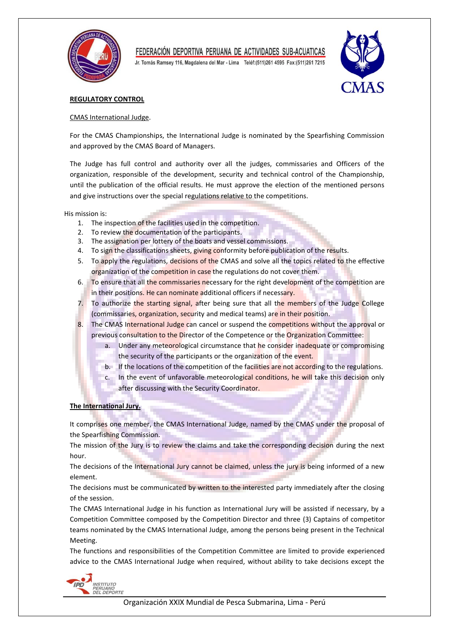

Jr. Tomás Ramsey 116, Magdalena del Mar - Lima Teléf: (511) 261 4595 Fax: (511) 261 7215



### **REGULATORY CONTROL**

#### CMAS International Judge.

For the CMAS Championships, the International Judge is nominated by the Spearfishing Commission and approved by the CMAS Board of Managers.

The Judge has full control and authority over all the judges, commissaries and Officers of the organization, responsible of the development, security and technical control of the Championship, until the publication of the official results. He must approve the election of the mentioned persons and give instructions over the special regulations relative to the competitions.

His mission is:

- 1. The inspection of the facilities used in the competition.
- 2. To review the documentation of the participants.
- 3. The assignation per lottery of the boats and vessel commissions.
- 4. To sign the classifications sheets, giving conformity before publication of the results.
- 5. To apply the regulations, decisions of the CMAS and solve all the topics related to the effective organization of the competition in case the regulations do not cover them.
- 6. To ensure that all the commissaries necessary for the right development of the competition are in their positions. He can nominate additional officers if necessary.
- 7. To authorize the starting signal, after being sure that all the members of the Judge College (commissaries, organization, security and medical teams) are in their position.
- 8. The CMAS International Judge can cancel or suspend the competitions without the approval or previous consultation to the Director of the Competence or the Organization Committee:
	- a. Under any meteorological circumstance that he consider inadequate or compromising the security of the participants or the organization of the event.
	- b. If the locations of the competition of the facilities are not according to the regulations.
	- c. In the event of unfavorable meteorological conditions, he will take this decision only after discussing with the Security Coordinator.

**The International Jury.**

It comprises one member, the CMAS International Judge, named by the CMAS under the proposal of the Spearfishing Commission.

The mission of the Jury is to review the claims and take the corresponding decision during the next hour.

The decisions of the International Jury cannot be claimed, unless the jury is being informed of a new element.

The decisions must be communicated by written to the interested party immediately after the closing of the session.

The CMAS International Judge in his function as International Jury will be assisted if necessary, by a Competition Committee composed by the Competition Director and three (3) Captains of competitor teams nominated by the CMAS International Judge, among the persons being present in the Technical Meeting.

The functions and responsibilities of the Competition Committee are limited to provide experienced advice to the CMAS International Judge when required, without ability to take decisions except the